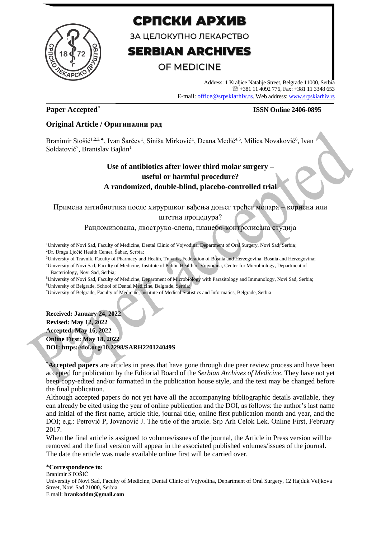

# СРПСКИ АРХИВ

ЗА ЦЕЛОКУПНО ЛЕКАРСТВО

# **SERBIAN ARCHIVES**

## OF MEDICINE

Address: 1 Kraljice Natalije Street, Belgrade 11000, Serbia +381 11 4092 776, Fax: +381 11 3348 653 E-mail: office@srpskiarhiv.rs, Web address[: www.srpskiarhiv.rs](http://www.srpskiarhiv.rs/)

## **Paper Accepted\***

## **ISSN Online 2406-0895**

## **Original Article / Оригинални рад**

Branimir Stošić<sup>1,2,3,</sup>\*, Ivan Šarčev<sup>1</sup>, Siniša Mirković<sup>1</sup>, Deana Medić<sup>4,5</sup>, Milica Novaković<sup>6</sup>, Ivan Soldatović<sup>7</sup>, Branislav Bajkin<sup>1</sup>

## **Use of antibiotics after lower third molar surgery – useful or harmful procedure? A randomized, double-blind, placebo-controlled trial**

Примена антибиотика после хируршког вађења доњег трећег молара – корисна или штетна процедура?

Рандомизована, двоструко-слепа, плацебо-контролисана студија

<sup>1</sup>University of Novi Sad, Faculty of Medicine, Dental Clinic of Vojvodina, Department of Oral Surgery, Novi Sad, Serbia; <sup>2</sup>Dr. Draga Ljočić Health Center, Šabac, Serbia;

<sup>3</sup>University of Travnik, Faculty of Pharmacy and Health, Travnik, Federation of Bosnia and Herzegovina, Bosnia and Herzegovina; <sup>4</sup>University of Novi Sad, Faculty of Medicine, Institute of Public Health of Vojvodina, Center for Microbiology, Department of

Bacteriology, Novi Sad, Serbia;

<sup>5</sup>University of Novi Sad, Faculty of Medicine, Department of Microbiology with Parasitology and Immunology, Novi Sad, Serbia; <sup>6</sup>University of Belgrade, School of Dental Medicine, Belgrade, Serbia;

<sup>7</sup>University of Belgrade, Faculty of Medicine, Institute of Medical Statistics and Informatics, Belgrade, Serbia

**Received: January 24, 2022 Revised: May 12, 2022 Accepted: May 16, 2022 Online First: May 18, 2022 DOI: https://doi.org/10.2298/SARH220124049S**

\***Accepted papers** are articles in press that have gone through due peer review process and have been accepted for publication by the Editorial Board of the *Serbian Archives of Medicine*. They have not yet been copy-edited and/or formatted in the publication house style, and the text may be changed before the final publication.

Although accepted papers do not yet have all the accompanying bibliographic details available, they can already be cited using the year of online publication and the DOI, as follows: the author's last name and initial of the first name, article title, journal title, online first publication month and year, and the DOI; e.g.: Petrović P, Jovanović J. The title of the article. Srp Arh Celok Lek. Online First, February 2017.

When the final article is assigned to volumes/issues of the journal, the Article in Press version will be removed and the final version will appear in the associated published volumes/issues of the journal. The date the article was made available online first will be carried over.

#### **Correspondence to:**

Branimir STOŠIĆ University of Novi Sad, Faculty of Medicine, Dental Clinic of Vojvodina, Department of Oral Surgery, 12 Hajduk Veljkova Street, Novi Sad 21000, Serbia E mail: **brankoddm@gmail.com**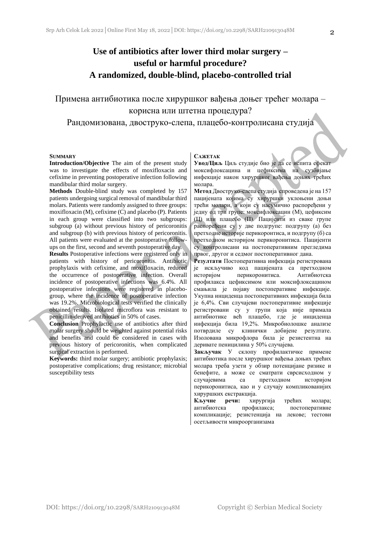## **Use of antibiotics after lower third molar surgery – useful or harmful procedure? A randomized, double-blind, placebo-controlled trial**

Примена антибиотика после хируршког вађења доњег трећег молара – корисна или штетна процедура?

Рандомизована, двоструко-слепа, плацебо-контролисана студија

#### **SUMMARY**

**Introduction/Objective** The aim of the present study was to investigate the effects of moxifloxacin and cefixime in preventing postoperative infection following mandibular third molar surgery.

**Methods** Double-blind study was completed by 157 patients undergoing surgical removal of mandibular third molars. Patients were randomly assigned to three groups: moxifloxacin (M), cefixime (C) and placebo (P). Patients in each group were classified into two subgroups: subgroup (a) without previous history of pericoronitis and subgroup (b) with previous history of pericoronitis. All patients were evaluated at the postoperative followups on the first, second and seventh postoperative day.

**Results** Postoperative infections were registered only in patients with history of pericoronitis. Antibiotic prophylaxis with cefixime, and moxifloxacin, reduced the occurrence of postoperative infection. Overall incidence of postoperative infections was 6.4%. All postoperative infections were registered in placebogroup, where the incidence of postoperative infection was 19.2%. Microbiological tests verified the clinically obtained results. Isolated microflora was resistant to penicillin-derived antibiotics in 50% of cases.

**Conclusion** Prophylactic use of antibiotics after third molar surgery should be weighted against potential risks and benefits and could be considered in cases with previous history of pericoronitis, when complicated surgical extraction is performed.

**Keywords:** third molar surgery; antibiotic prophylaxis; postoperative complications; drug resistance; microbial susceptibility tests

#### **САЖЕТАК**

**Увод/Циљ** Циљ студије био је да се испита ефекат моксифлоксацина и цефиксима на сузбијање инфекције након хируршког вађења доњих трећих молара.

**Метод** Двоструко-слепа студија спроведена је на 157 пацијената којима су хируршки уклоњени доњи трећи молари, а који су насумично распоређени у једну од три групе: моксифлоксацин (М), цефиксим (Ц) или плацебо (П). Пацијенти из сваке групе распоређени су у две подгрупе: подгрупу (а) без претходне историје перикоронтиса, и подгрупу (б) са претходном историјом перикоронитиса. Пацијенти су контролисани на постоперативним прегледима првог, другог и седмог постоперативног дана.

**Резултати** Постоперативна инфекција регистрована је искључиво код пацијената са претходном историјом перикоронитиса. Антибиотска профилакса цефиксимом или моксифлоксацином смањила је појаву постоперативне инфекције. Укупна инциденца постоперативних инфекција била је 6,4%. Сви случајеви постоперативне инфекције регистровани су у групи која није примала антибиотике већ плацебо, где је инциденца инфекција била 19,2%. Микробиолошке анализе потврдиле су клинички добијене резултате. Изолована микрофлора била је резистентна на деривате пеницилина у 50% случајева.

**Закључак** У склопу профилактичке примене антибиотика после хируршког вађења доњих трећих молара треба узети у обзир потенцијане ризике и бенефите, а може се сматрати сврсисходном у случајевима са претходном историјом перикоронитиса, као и у случају компликованијих хируршких екстракција.

**Кључне речи:** хирургија трећих молара; антибиотска профилакса; постоперативне компликације; резистенција на лекове; тестови осетљивости микроорганизама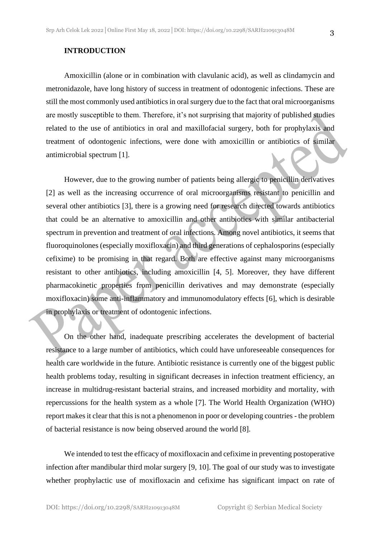Amoxicillin (alone or in combination with clavulanic acid), as well as clindamycin and metronidazole, have long history of success in treatment of odontogenic infections. These are still the most commonly used antibiotics in oral surgery due to the fact that oral microorganisms are mostly susceptible to them. Therefore, it's not surprising that majority of published studies related to the use of antibiotics in oral and maxillofacial surgery, both for prophylaxis and treatment of odontogenic infections, were done with amoxicillin or antibiotics of similar antimicrobial spectrum [1].

However, due to the growing number of patients being allergic to penicillin derivatives [2] as well as the increasing occurrence of oral microorganisms resistant to penicillin and several other antibiotics [3], there is a growing need for research directed towards antibiotics that could be an alternative to amoxicillin and other antibiotics with similar antibacterial spectrum in prevention and treatment of oral infections. Among novel antibiotics, it seems that fluoroquinolones (especially moxifloxacin) and third generations of cephalosporins (especially cefixime) to be promising in that regard. Both are effective against many microorganisms resistant to other antibiotics, including amoxicillin [4, 5]. Moreover, they have different pharmacokinetic properties from penicillin derivatives and may demonstrate (especially moxifloxacin) some anti-inflammatory and immunomodulatory effects [6], which is desirable in prophylaxis or treatment of odontogenic infections.

On the other hand, inadequate prescribing accelerates the development of bacterial resistance to a large number of antibiotics, which could have unforeseeable consequences for health care worldwide in the future. Antibiotic resistance is currently one of the biggest public health problems today, resulting in significant decreases in infection treatment efficiency, an increase in multidrug-resistant bacterial strains, and increased morbidity and mortality, with repercussions for the health system as a whole [7]. The World Health Organization (WHO) report makes it clear that this is not a phenomenon in poor or developing countries - the problem of bacterial resistance is now being observed around the world [8].

We intended to test the efficacy of moxifloxacin and cefixime in preventing postoperative infection after mandibular third molar surgery [9, 10]. The goal of our study was to investigate whether prophylactic use of moxifloxacin and cefixime has significant impact on rate of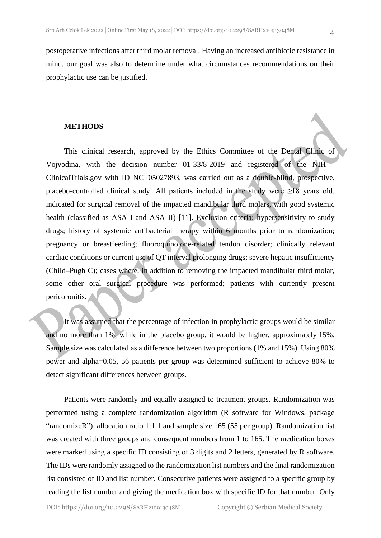postoperative infections after third molar removal. Having an increased antibiotic resistance in mind, our goal was also to determine under what circumstances recommendations on their prophylactic use can be justified.

#### **METHODS**

This clinical research, approved by the Ethics Committee of the Dental Clinic of Vojvodina, with the decision number 01-33/8-2019 and registered of the NIH - ClinicalTrials.gov with ID NCT05027893, was carried out as a double-blind, prospective, placebo-controlled clinical study. All patients included in the study were  $\geq$ 18 years old, indicated for surgical removal of the impacted mandibular third molars, with good systemic health (classified as ASA I and ASA II) [11]. Exclusion criteria: hypersensitivity to study drugs; history of systemic antibacterial therapy within 6 months prior to randomization; pregnancy or breastfeeding; fluoroquinolone-related tendon disorder; clinically relevant cardiac conditions or current use of QT interval prolonging drugs; severe hepatic insufficiency (Child–Pugh C); cases where, in addition to removing the impacted mandibular third molar, some other oral surgical procedure was performed; patients with currently present pericoronitis.

It was assumed that the percentage of infection in prophylactic groups would be similar and no more than 1%, while in the placebo group, it would be higher, approximately 15%. Sample size was calculated as a difference between two proportions (1% and 15%). Using 80% power and alpha=0.05, 56 patients per group was determined sufficient to achieve 80% to detect significant differences between groups.

Patients were randomly and equally assigned to treatment groups. Randomization was performed using a complete randomization algorithm (R software for Windows, package "randomizeR"), allocation ratio 1:1:1 and sample size 165 (55 per group). Randomization list was created with three groups and consequent numbers from 1 to 165. The medication boxes were marked using a specific ID consisting of 3 digits and 2 letters, generated by R software. The IDs were randomly assigned to the randomization list numbers and the final randomization list consisted of ID and list number. Consecutive patients were assigned to a specific group by reading the list number and giving the medication box with specific ID for that number. Only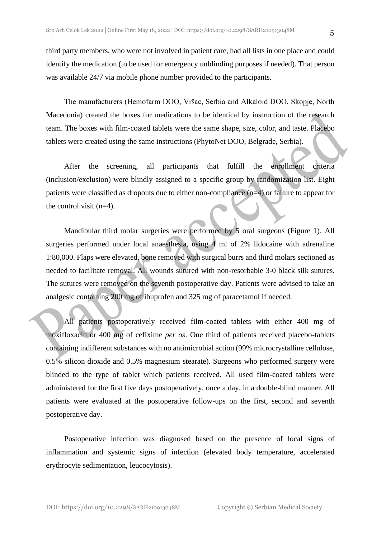third party members, who were not involved in patient care, had all lists in one place and could identify the medication (to be used for emergency unblinding purposes if needed). That person was available 24/7 via mobile phone number provided to the participants.

The manufacturers (Hemofarm DOO, Vršac, Serbia and Alkaloid DOO, Skopje, North Macedonia) created the boxes for medications to be identical by instruction of the research team. The boxes with film-coated tablets were the same shape, size, color, and taste. Placebo tablets were created using the same instructions (PhytoNet DOO, Belgrade, Serbia).

After the screening, all participants that fulfill the enrollment criteria (inclusion/exclusion) were blindly assigned to a specific group by randomization list. Eight patients were classified as dropouts due to either non-compliance (n=4) or failure to appear for the control visit  $(n=4)$ .

Mandibular third molar surgeries were performed by 5 oral surgeons (Figure 1). All surgeries performed under local anaesthesia, using 4 ml of 2% lidocaine with adrenaline 1:80,000. Flaps were elevated, bone removed with surgical burrs and third molars sectioned as needed to facilitate removal. All wounds sutured with non-resorbable 3-0 black silk sutures. The sutures were removed on the seventh postoperative day. Patients were advised to take an analgesic containing 200 mg of ibuprofen and 325 mg of paracetamol if needed.

All patients postoperatively received film-coated tablets with either 400 mg of moxifloxacin or 400 mg of cefixime *per os*. One third of patients received placebo-tablets containing indifferent substances with no antimicrobial action (99% microcrystalline cellulose, 0.5% silicon dioxide and 0.5% magnesium stearate). Surgeons who performed surgery were blinded to the type of tablet which patients received. All used film-coated tablets were administered for the first five days postoperatively, once a day, in a double-blind manner. All patients were evaluated at the postoperative follow-ups on the first, second and seventh postoperative day.

Postoperative infection was diagnosed based on the presence of local signs of inflammation and systemic signs of infection (elevated body temperature, accelerated erythrocyte sedimentation, leucocytosis).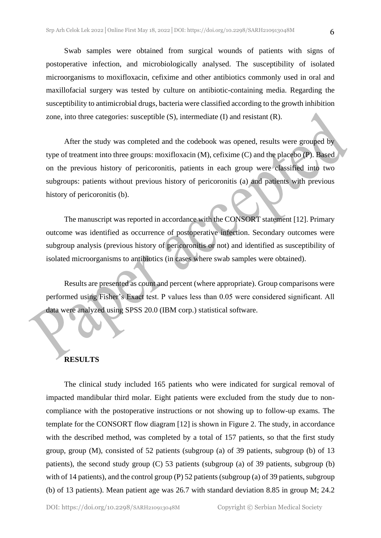Swab samples were obtained from surgical wounds of patients with signs of postoperative infection, and microbiologically analysed. The susceptibility of isolated microorganisms to moxifloxacin, cefixime and other antibiotics commonly used in oral and maxillofacial surgery was tested by culture on antibiotic-containing media. Regarding the susceptibility to antimicrobial drugs, bacteria were classified according to the growth inhibition zone, into three categories: susceptible (S), intermediate (I) and resistant (R).

After the study was completed and the codebook was opened, results were grouped by type of treatment into three groups: moxifloxacin (M), cefixime (C) and the placebo (P). Based on the previous history of pericoronitis, patients in each group were classified into two subgroups: patients without previous history of pericoronitis (a) and patients with previous history of pericoronitis (b).

The manuscript was reported in accordance with the CONSORT statement [12]. Primary outcome was identified as occurrence of postoperative infection. Secondary outcomes were subgroup analysis (previous history of pericoronitis or not) and identified as susceptibility of isolated microorganisms to antibiotics (in cases where swab samples were obtained).

Results are presented as count and percent (where appropriate). Group comparisons were performed using Fisher's Exact test. P values less than 0.05 were considered significant. All data were analyzed using SPSS 20.0 (IBM corp.) statistical software.

## **RESULTS**

The clinical study included 165 patients who were indicated for surgical removal of impacted mandibular third molar. Eight patients were excluded from the study due to noncompliance with the postoperative instructions or not showing up to follow-up exams. The template for the CONSORT flow diagram [12] is shown in Figure 2. The study, in accordance with the described method, was completed by a total of 157 patients, so that the first study group, group (M), consisted of 52 patients (subgroup (a) of 39 patients, subgroup (b) of 13 patients), the second study group (C) 53 patients (subgroup (a) of 39 patients, subgroup (b) with of 14 patients), and the control group (P) 52 patients (subgroup (a) of 39 patients, subgroup (b) of 13 patients). Mean patient age was 26.7 with standard deviation 8.85 in group M; 24.2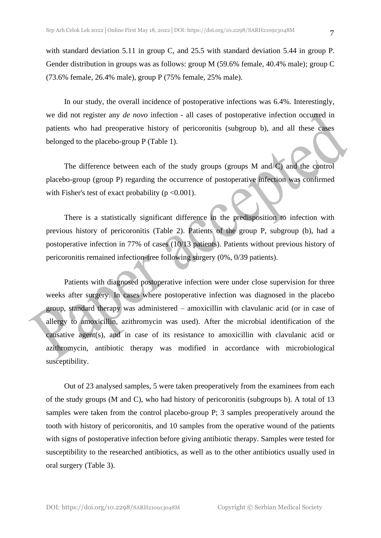with standard deviation 5.11 in group C, and 25.5 with standard deviation 5.44 in group P. Gender distribution in groups was as follows: group M (59.6% female, 40.4% male); group C (73.6% female, 26.4% male), group P (75% female, 25% male).

In our study, the overall incidence of postoperative infections was 6.4%. Interestingly, we did not register any *de novo* infection - all cases of postoperative infection occurred in patients who had preoperative history of pericoronitis (subgroup b), and all these cases belonged to the placebo-group P (Table 1).

The difference between each of the study groups (groups M and C) and the control placebo-group (group P) regarding the occurrence of postoperative infection was confirmed with Fisher's test of exact probability ( $p \le 0.001$ ).

There is a statistically significant difference in the predisposition to infection with previous history of pericoronitis (Table 2). Patients of the group P, subgroup (b), had a postoperative infection in 77% of cases (10/13 patients). Patients without previous history of pericoronitis remained infection-free following surgery (0%, 0/39 patients).

Patients with diagnosed postoperative infection were under close supervision for three weeks after surgery. In cases where postoperative infection was diagnosed in the placebo group, standard therapy was administered – amoxicillin with clavulanic acid (or in case of allergy to amoxicillin, azithromycin was used). After the microbial identification of the causative agent(s), and in case of its resistance to amoxicillin with clavulanic acid or azithromycin, antibiotic therapy was modified in accordance with microbiological susceptibility.

Out of 23 analysed samples, 5 were taken preoperatively from the examinees from each of the study groups (M and C), who had history of pericoronitis (subgroups b). A total of 13 samples were taken from the control placebo-group P; 3 samples preoperatively around the tooth with history of pericoronitis, and 10 samples from the operative wound of the patients with signs of postoperative infection before giving antibiotic therapy. Samples were tested for susceptibility to the researched antibiotics, as well as to the other antibiotics usually used in oral surgery (Table 3).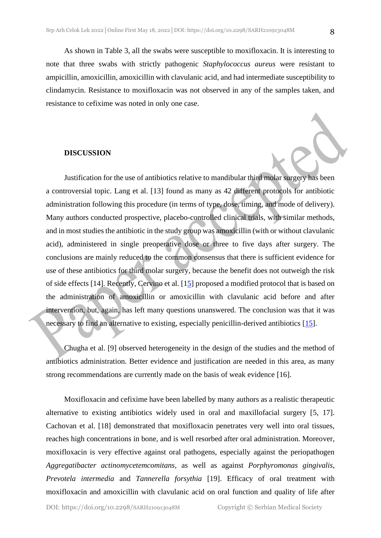As shown in Table 3, all the swabs were susceptible to moxifloxacin. It is interesting to note that three swabs with strictly pathogenic *Staphylococcus aureus* were resistant to ampicillin, amoxicillin, amoxicillin with clavulanic acid, and had intermediate susceptibility to clindamycin. Resistance to moxifloxacin was not observed in any of the samples taken, and resistance to cefixime was noted in only one case.

#### **DISCUSSION**

Justification for the use of antibiotics relative to mandibular third molar surgery has been a controversial topic. Lang et al. [13] found as many as 42 different protocols for antibiotic administration following this procedure (in terms of type, dose, timing, and mode of delivery). Many authors conducted prospective, placebo-controlled clinical trials, with similar methods, and in most studies the antibiotic in the study group was amoxicillin (with or without clavulanic acid), administered in single preoperative dose or three to five days after surgery. The conclusions are mainly reduced to the common consensus that there is sufficient evidence for use of these antibiotics for third molar surgery, because the benefit does not outweigh the risk of side effects [14]. Recently, Cervino et al. [15] proposed a modified protocol that is based on the administration of amoxicillin or amoxicillin with clavulanic acid before and after intervention, but, again, has left many questions unanswered. The conclusion was that it was necessary to find an alternative to existing, especially penicillin-derived antibiotics [15].

Chugha et al. [9] observed heterogeneity in the design of the studies and the method of antibiotics administration. Better evidence and justification are needed in this area, as many strong recommendations are currently made on the basis of weak evidence [16].

Moxifloxacin and cefixime have been labelled by many authors as a realistic therapeutic alternative to existing antibiotics widely used in oral and maxillofacial surgery [5, 17]. Cachovan et al. [18] demonstrated that moxifloxacin penetrates very well into oral tissues, reaches high concentrations in bone, and is well resorbed after oral administration. Moreover, moxifloxacin is very effective against oral pathogens, especially against the periopathogen *Aggregatibacter actinomycetemcomitans*, as well as against *Porphyromonas gingivalis*, *Prevotela intermedia* and *Tannerella forsythia* [19]. Efficacy of oral treatment with moxifloxacin and amoxicillin with clavulanic acid on oral function and quality of life after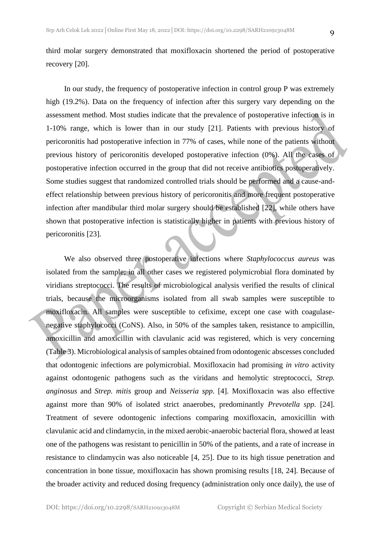third molar surgery demonstrated that moxifloxacin shortened the period of postoperative recovery [20].

In our study, the frequency of postoperative infection in control group P was extremely high (19.2%). Data on the frequency of infection after this surgery vary depending on the assessment method. Most studies indicate that the prevalence of postoperative infection is in 1-10% range, which is lower than in our study [21]. Patients with previous history of pericoronitis had postoperative infection in 77% of cases, while none of the patients without previous history of pericoronitis developed postoperative infection (0%). All the cases of postoperative infection occurred in the group that did not receive antibiotics postoperatively. Some studies suggest that randomized controlled trials should be performed and a cause-andeffect relationship between previous history of pericoronitis and more frequent postoperative infection after mandibular third molar surgery should be established [22], while others have shown that postoperative infection is statistically higher in patients with previous history of pericoronitis [23].

We also observed three postoperative infections where *Staphylococcus aureus* was isolated from the sample; in all other cases we registered polymicrobial flora dominated by viridians streptococci. The results of microbiological analysis verified the results of clinical trials, because the microorganisms isolated from all swab samples were susceptible to moxifloxacin. All samples were susceptible to cefixime, except one case with coagulasenegative staphylococci (CoNS). Also, in 50% of the samples taken, resistance to ampicillin, amoxicillin and amoxicillin with clavulanic acid was registered, which is very concerning (Table 3). Microbiological analysis of samples obtained from odontogenic abscesses concluded that odontogenic infections are polymicrobial. Moxifloxacin had promising *in vitro* activity against odontogenic pathogens such as the viridans and hemolytic streptococci, *Strep. anginosus* and *Strep. mitis* group and *Neisseria spp.* [4]. Moxifloxacin was also effective against more than 90% of isolated strict anaerobes, predominantly *Prevotella spp.* [24]. Treatment of severe odontogenic infections comparing moxifloxacin, amoxicillin with clavulanic acid and clindamycin, in the mixed aerobic-anaerobic bacterial flora, showed at least one of the pathogens was resistant to penicillin in 50% of the patients, and a rate of increase in resistance to clindamycin was also noticeable [4, 25]. Due to its high tissue penetration and concentration in bone tissue, moxifloxacin has shown promising results [18, 24]. Because of the broader activity and reduced dosing frequency (administration only once daily), the use of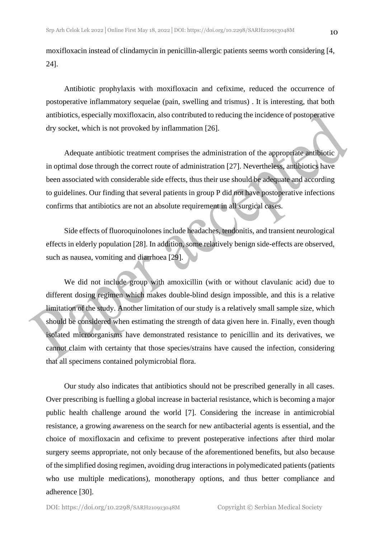moxifloxacin instead of clindamycin in penicillin-allergic patients seems worth considering [4, 24].

Antibiotic prophylaxis with moxifloxacin and cefixime, reduced the occurrence of postoperative inflammatory sequelae (pain, swelling and trismus) . It is interesting, that both antibiotics, especially moxifloxacin, also contributed to reducing the incidence of postoperative dry socket, which is not provoked by inflammation [26].

Adequate antibiotic treatment comprises the administration of the appropriate antibiotic in optimal dose through the correct route of administration [27]. Nevertheless, antibiotics have been associated with considerable side effects, thus their use should be adequate and according to guidelines. Our finding that several patients in group P did not have postoperative infections confirms that antibiotics are not an absolute requirement in all surgical cases.

Side effects of fluoroquinolones include headaches, tendonitis, and transient neurological effects in elderly population [28]. In addition, some relatively benign side-effects are observed, such as nausea, vomiting and diarrhoea [29].

We did not include group with amoxicillin (with or without clavulanic acid) due to different dosing regimen which makes double-blind design impossible, and this is a relative limitation of the study. Another limitation of our study is a relatively small sample size, which should be considered when estimating the strength of data given here in. Finally, even though isolated microorganisms have demonstrated resistance to penicillin and its derivatives, we cannot claim with certainty that those species/strains have caused the infection, considering that all specimens contained polymicrobial flora.

Our study also indicates that antibiotics should not be prescribed generally in all cases. Over prescribing is fuelling a global increase in bacterial resistance, which is becoming a major public health challenge around the world [7]. Considering the increase in antimicrobial resistance, a growing awareness on the search for new antibacterial agents is essential, and the choice of moxifloxacin and cefixime to prevent posteperative infections after third molar surgery seems appropriate, not only because of the aforementioned benefits, but also because of the simplified dosing regimen, avoiding drug interactions in polymedicated patients (patients who use multiple medications), monotherapy options, and thus better compliance and adherence [30].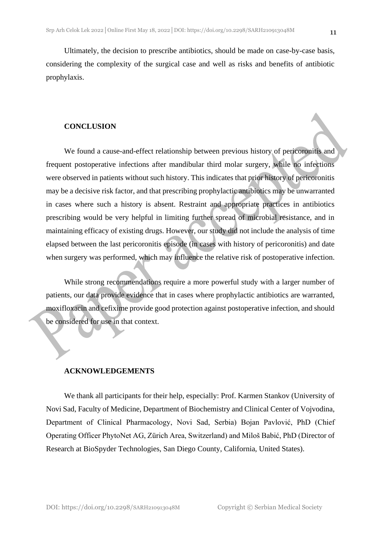Ultimately, the decision to prescribe antibiotics, should be made on case-by-case basis, considering the complexity of the surgical case and well as risks and benefits of antibiotic prophylaxis.

### **CONCLUSION**

We found a cause-and-effect relationship between previous history of pericoronitis and frequent postoperative infections after mandibular third molar surgery, while no infections were observed in patients without such history. This indicates that prior history of pericoronitis may be a decisive risk factor, and that prescribing prophylactic antibiotics may be unwarranted in cases where such a history is absent. Restraint and appropriate practices in antibiotics prescribing would be very helpful in limiting further spread of microbial resistance, and in maintaining efficacy of existing drugs. However, our study did not include the analysis of time elapsed between the last pericoronitis episode (in cases with history of pericoronitis) and date when surgery was performed, which may influence the relative risk of postoperative infection.

While strong recommendations require a more powerful study with a larger number of patients, our data provide evidence that in cases where prophylactic antibiotics are warranted, moxifloxacin and cefixime provide good protection against postoperative infection, and should be considered for use in that context.

### **ACKNOWLEDGEMENTS**

We thank all participants for their help, especially: Prof. Karmen Stankov (University of Novi Sad, Faculty of Medicine, Department of Biochemistry and Clinical Center of Vojvodina, Department of Clinical Pharmacology, Novi Sad, Serbia) Bojan Pavlović, PhD (Chief Operating Officer PhytoNet AG, Zürich Area, Switzerland) and Miloš Babić, PhD (Director of Research at BioSpyder Technologies, San Diego County, California, United States).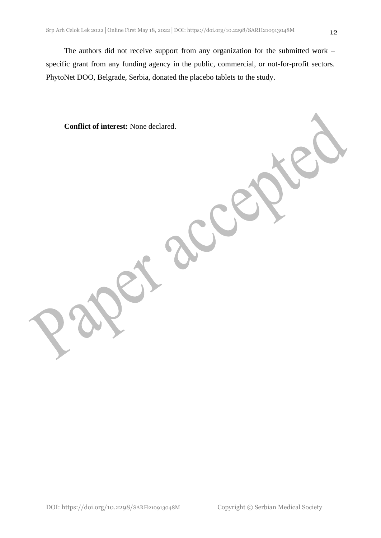The authors did not receive support from any organization for the submitted work – specific grant from any funding agency in the public, commercial, or not-for-profit sectors. PhytoNet DOO, Belgrade, Serbia, donated the placebo tablets to the study.

**Conflict of interest:** None declared.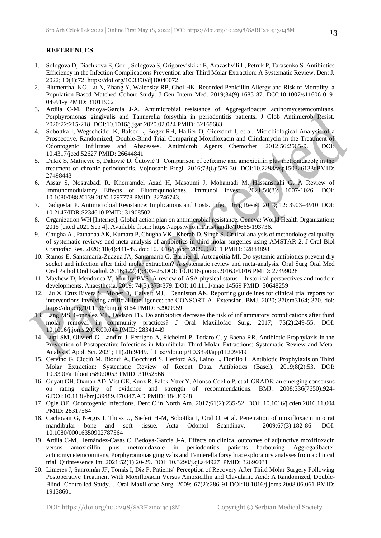#### **REFERENCES**

- 1. Sologova D, Diachkova E, Gor I, Sologova S, Grigoreviskikh E, Arazashvili L, Petruk P, Tarasenko S. Antibiotics Efficiency in the Infection Complications Prevention after Third Molar Extraction: A Systematic Review. Dent J. 2022; 10(4):72. https://doi.org/10.3390/dj10040072
- 2. Blumenthal KG, Lu N, Zhang Y, Walensky RP, Choi HK. Recorded Penicillin Allergy and Risk of Mortality: a Population-Based Matched Cohort Study. J Gen Intern Med. 2019;34(9):1685-87. DOI:10.1007/s11606-019- 04991-y PMID: 31011962
- 3. Ardila C-M, Bedoya-García J-A. Antimicrobial resistance of Aggregatibacter actinomycetemcomitans, Porphyromonas gingivalis and Tannerella forsythia in periodontitis patients. J Glob Antimicrob Resist. 2020;22:215-218. DOI:10.1016/j.jgar.2020.02.024 PMID: 32169683
- 4. Sobottka I, Wegscheider K, Balser L, Boger RH, Hallier O, Giersdorf I, et al. Microbiological Analysis of a Prospective, Randomized, Double-Blind Trial Comparing Moxifloxacin and Clindamycin in the Treatment of Odontogenic Infiltrates and Abscesses. Antimicrob Agents Chemother. 2012;56:2565-9. DOI: 10.4317/jced.52627 PMID: 26644841
- 5. Dukić S, Matijević S, Daković D, Čutović T. Comparison of cefixime and amoxicillin plus metronidazole in the treatment of chronic periodontitis. Vojnosanit Pregl. 2016;73(6):526-30. DOI:10.2298/vsp150326133dPMID: 27498443
- 6. Assar S, Nostrabadi R, Khorramdel Azad H, Masoumi J, Mohamadi M, Hassanshahi G. A Review of Immunomodulatory Effects of Fluoroquinolones. Immunol Invest. 2021;50(8): 1007-1026. DOI: 10.1080/08820139.2020.1797778 PMID: 32746743.
- 7. Dadgostar P. Antimicrobial Resistance: Implications and Costs. Infect Drug Resist. 2019; 12: 3903–3910. DOI: 10.2147/IDR.S234610 PMID: 31908502
- 8. Organization WH [Internet]. Global action plan on antimicrobial resistance. Geneva: World Health Organization; 2015 [cited 2021 Sep 4]. Available from: https://apps.who.int/iris/handle/10665/193736.
- 9. Chugha A , Patnanaa AK, Kumara P, Chugha VK , Kherab D, Singh S. Critical analysis of methodological quality of systematic reviews and meta-analysis of antibiotics in third molar surgeries using AMSTAR 2. J Oral Biol Craniofac Res. 2020; 10(4):441-49. doi: 10.1016/j.jobcr.2020.07.011 PMID: 32884898
- 10. Ramos E, Santamaría-Zuazua JA, Santamaría G, Barbier L, Arteagoitia MI. Do systemic antibiotics prevent dry socket and infection after third molar extraction? A systematic review and meta-analysis. Oral Surg Oral Med Oral Pathol Oral Radiol. 2016;122(4):403–25.DOI: 10.1016/j.oooo.2016.04.016 PMID: 27499028
- 11. Mayhew D, Mendonca V, Murthy BVS. A review of ASA physical status historical perspectives and modern developments. Anaesthesia. 2019; 74(3):373-379. DOI: 10.1111/anae.14569 PMID: 30648259
- 12. Liu X, Cruz Rivera S, Moher D, Calvert MJ, Denniston AK. Reporting guidelines for clinical trial reports for interventions involving artificial intelligence: the CONSORT-AI Extension. BMJ. 2020; 370:m3164; 370. doi: https://doi.org/10.1136/bmj.m3164 PMID: 32909959
- 13. Lang MS, Gonzalez ML, Dodson TB. Do antibiotics decrease the risk of inflammatory complications after third molar removal in community practices? J Oral Maxillofac Surg. 2017; 75(2):249-55. DOI: 10.1016/j.joms.2016.09.044 PMID: 28341449
- 14. Lupi SM, Olivieri G, Landini J, Ferrigno A, Richelmi P, Todaro C, y Baena RR. Antibiotic Prophylaxis in the Prevention of Postoperative Infections in Mandibular Third Molar Extractions: Systematic Review and Meta-Analysis. Appl. Sci. 2021; 11(20):9449. https://doi.org/10.3390/app11209449
- 15. Cervino G, Cicciù M, Biondi A, Bocchieri S, Herford AS, Laino L, Fiorillo L. Antibiotic Prophylaxis on Third Molar Extraction: Systematic Review of Recent Data. Antibiotics (Basel). 2019;8(2):53. DOI: 10.3390/antibiotics8020053 PMID: 31052566
- 16. Guyatt GH, Oxman AD, Vist GE, Kunz R, Falck-Ytter Y, Alonso-Coello P, et al. GRADE: an emerging consensus on rating quality of evidence and strength of recommendations. BMJ. 2008;336(7650):924- 6.DOI:10.1136/bmj.39489.470347.AD PMID: 18436948
- 17. Ogle OE. Odontogenic Infections. Dent Clin North Am. 2017;61(2):235-52. DOI: 10.1016/j.cden.2016.11.004 PMID: 28317564
- 18. Cachovan G, Nergiz I, Thuss U, Siefert H-M, Sobottka I, Oral O, et al. Penetration of moxifloxacin into rat mandibular bone and soft tissue. Acta Odontol Scandinav. 2009;67(3):182-86. DOI: 10.1080/00016350902787564
- 19. Ardila C-M, Hernández-Casas C, Bedoya-García J-A. Effects on clinical outcomes of adjunctive moxifloxacin versus amoxicillin plus metronidazole in periodontitis patients harbouring Aggregatibacter actinomycetemcomitans, Porphyromonas gingivalis and Tannerella forsythia: exploratory analyses from a clinical trial. Quintessence Int. 2021;52(1):20-29. DOI: 10.3290/j.qi.a44927 PMID: 32696031
- 20. Limeres J, Sanromán JF, Tomás I, Diz P. Patients' Perception of Recovery After Third Molar Surgery Following Postoperative Treatment With Moxifloxacin Versus Amoxicillin and Clavulanic Acid: A Randomized, Double-Blind, Controlled Study. J Oral Maxillofac Surg. 2009; 67(2):286-91.DOI:10.1016/j.joms.2008.06.061 PMID: 19138601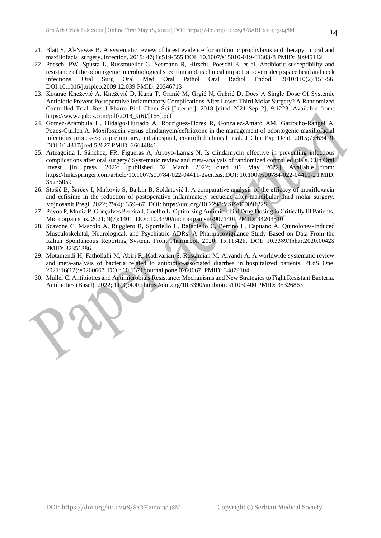- 21. Blatt S, Al-Nawas B. A systematic review of latest evidence for antibiotic prophylaxis and therapy in oral and maxillofacial surgery. Infection. 2019; 47(4):519-555 DOI: 10.1007/s15010-019-01303-8 PMID: 30945142
- 22. Poeschl PW, Spusta L, Russmueller G, Seemann R, Hirschl, Poeschl E, et al. Antibiotic susceptibility and resistance of the odontogenic microbiological spectrum and its clinical impact on severe deep space head and neck infections. Oral Surg Oral Med Oral Pathol Oral Radiol Endod. 2010;110(2):151-56. DOI:10.1016/j.tripleo.2009.12.039 PMID: 20346713
- 23. Kotarac Knežević A, Knežević D, Kuna T, Granić M, Grgić N, Gabrić D. Does A Single Dose Of Systemic Antibiotic Prevent Postoperative Inflammatory Complications After Lower Third Molar Surgery? A Randomized Controlled Trial. Res J Pharm Biol Chem Sci [Internet]. 2018 [cited 2021 Sep 2]; 9:1223. Available from: https://www.rjpbcs.com/pdf/2018\_9(6)/[166].pdf
- 24. Gomez-Arambula H, Hidalgo-Hurtado A, Rodriguez-Flores R, Gonzalez-Amaro AM, Garrocho-Rangel A, Pozos-Guillen A. Moxifoxacin versus clindamycin/ceftriaxone in the management of odontogenic maxillofacial infectious processes: a preliminary, intrahospital, controlled clinical trial. J Clin Exp Dent. 2015;7:e634–9. DOI:10.4317/jced.52627 PMID: 26644841
- 25. Arteagoitia I, Sánchez, FR, Figueras A, Arroyo-Lamas N. Is clindamycin effective in preventing infectious complications after oral surgery? Systematic review and meta-analysis of randomized controlled trials. Clin Oral Invest. [In press] 2022; [published 02 March 2022; cited 06 May 2022]. Available from: https://link.springer.com/article/10.1007/s00784-022-04411-2#citeas. DOI: 10.1007/s00784-022-04411-2 PMID: 35235059
- 26. Stošić B, Šarčev I, Mirković S, Bajkin B, Soldatović I. A comparative analysis of the efficacy of moxifloxacin and cefixime in the reduction of postoperative inflammatory sequelae after mandibular third molar surgery. Vojnosanit Pregl. 2022; 79(4): 359–67. DOI: https://doi.org/10.2298/VSP200909122S
- 27. Póvoa P, Moniz P, Gonçalves Pereira J, Coelho L. Optimizing Antimicrobial Drug Dosing in Critically Ill Patients. Microorganisms. 2021; 9(7):1401. DOI: 10.3390/microorganisms9071401 PMID: 34203510
- 28. Scavone C, Mascolo A, Ruggiero R, Sportiello L, Rafaniello C, Berrino L, Capuano A. Quinolones-Induced Musculoskeletal, Neurological, and Psychiatric ADRs: A Pharmacovigilance Study Based on Data From the Italian Spontaneous Reporting System. Front Pharmаcol. 2020; 15;11:428. DOI: 10.3389/fphar.2020.00428 PMID: 32351386
- 29. Motamendi H, Fathollahi M, Abiri R, Kadivarian S, Rostamian M, Alvandi A. A worldwide systematic review and meta-analysis of bacteria related to antibiotic-associated diarrhea in hospitalized patients. PLoS One. 2021;16(12):e0260667. DOI: 10.1371/journal.pone.0260667. PMID: 34879104
- 30. Muller C. Antibiotics and Antimicrobials Resistance: Mechanisms and New Strategies to Fight Resistant Bacteria. Antibiotics (Basel). 2022; 11(3):400. https://doi.org/10.3390/antibiotics11030400 PMID: 35326863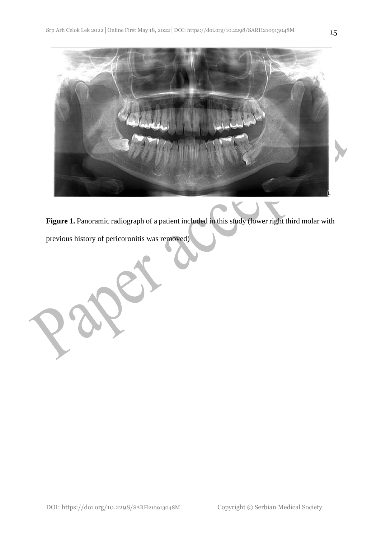

**Figure 1.** Panoramic radiograph of a patient included in this study (lower right third molar with

previous history of pericoronitis was removed)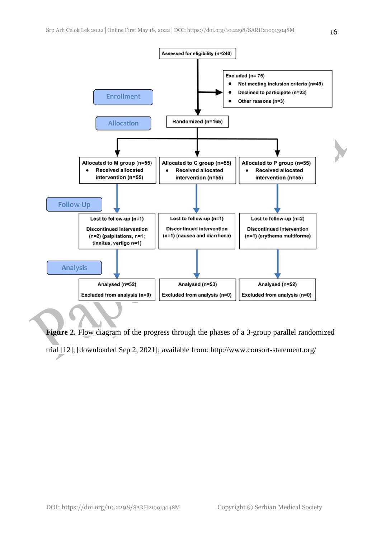

**Figure 2.** Flow diagram of the progress through the phases of a 3-group parallel randomized trial [12]; [downloaded Sep 2, 2021]; available from: http://www.consort-statement.org/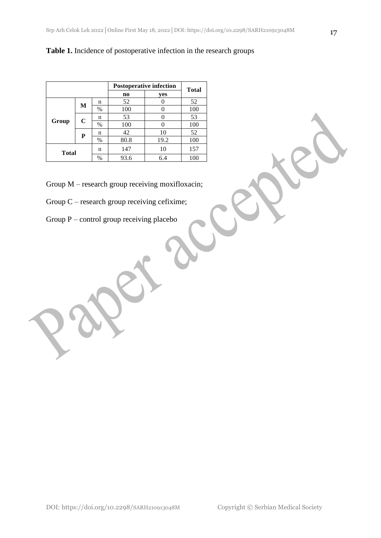## **Table 1.** Incidence of postoperative infection in the research groups

|       |              |         | <b>Postoperative infection</b> | <b>Total</b> |     |
|-------|--------------|---------|--------------------------------|--------------|-----|
|       |              |         | $\bf{no}$                      | yes          |     |
| Group | M            | n       | 52                             |              | 52  |
|       |              | $\%$    | 100                            |              | 100 |
|       | $\mathbf C$  | n       | 53                             | 0            | 53  |
|       |              | $\%$    | 100                            |              | 100 |
|       | P            | 42<br>n |                                | 10           | 52  |
|       |              | $\%$    | 80.8                           | 19.2         | 100 |
|       | <b>Total</b> |         | 147<br>10                      |              | 157 |
|       |              | $\%$    | 93.6                           | 6.4          | 100 |

Group M – research group receiving moxifloxacin;

- Group C research group receiving cefixime;
- Group  $P$  control group receiving placebo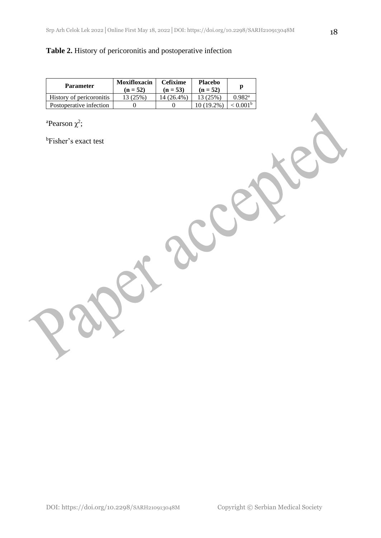## **Table 2.** History of pericoronitis and postoperative infection

| <b>Parameter</b>         | <b>Moxifloxacin</b><br>$(n = 52)$ | <b>Cefixime</b><br>$(n = 53)$ | <b>Placebo</b><br>$(n = 52)$ |                      |
|--------------------------|-----------------------------------|-------------------------------|------------------------------|----------------------|
| History of pericoronitis | 13 (25%)                          | 14 (26.4%)                    | 13 (25%)                     | $0.982$ <sup>a</sup> |
| Postoperative infection  |                                   |                               | 10 (19.2%)                   | 2.001 <sup>b</sup>   |

<sup>a</sup>Pearson  $\chi^2$ ;

<sup>b</sup>Fisher's exact test